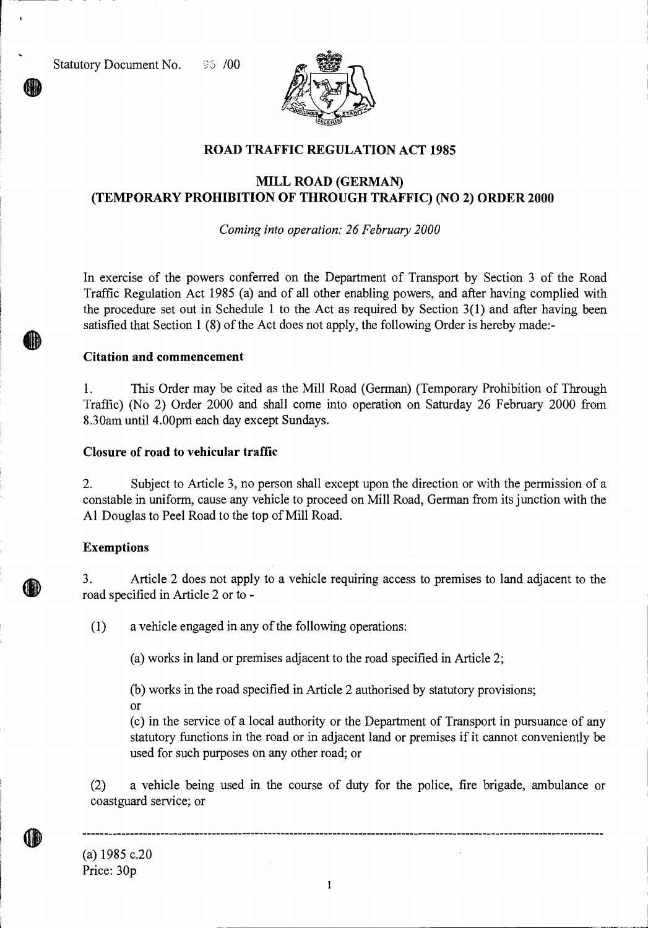

## **ROAD TRAFFIC REGULATION ACT 1985**

# **MILL ROAD (GERMAN) (TEMPORARY PROHIBITION OF THROUGH TRAFFIC) (NO 2) ORDER 2000**

*Coming into operation: 26 February 2000* 

In exercise of the powers conferred on the Department of Transport by Section 3 of the Road Traffic Regulation Act 1985 (a) and of all other enabling powers, and after having complied with the procedure set out in Schedule 1 to the Act as required by Section 3(1) and after having been satisfied that Section 1 (8) of the Act does not apply, the following Order is hereby made:-

#### **Citation and commencement**

1. This Order may be cited as the Mill Road (German) (Temporary Prohibition of Through Traffic) (No 2) Order 2000 and shall come into operation on Saturday 26 February 2000 from 8.30am until 4.00pm each day except Sundays.

### **Closure of road to vehicular traffic**

2. Subject to Article 3, no person shall except upon the direction or with the permission of a constable in uniform, cause any vehicle to proceed on Mill Road, German from its junction with the Al Douglas to Peel Road to the top of Mill Road.

### **Exemptions**

3. Article 2 does not apply to a vehicle requiring access to premises to land adjacent to the road specified in Article 2 or to -

(1) a vehicle engaged in any of the following operations:

(a) works in land or premises adjacent to the road specified in Article 2;

(b) works in the road specified in Article 2 authorised by statutory provisions;

or

(c) in the service of a local authority or the Department of Transport in pursuance of any statutory functions in the road or in adjacent land or premises if it cannot conveniently be used for such purposes on any other road; or

(2) a vehicle being used in the course of duty for the police, fire brigade, ambulance or coastguard service; or

(a) 1985 c.20 Price: 30p